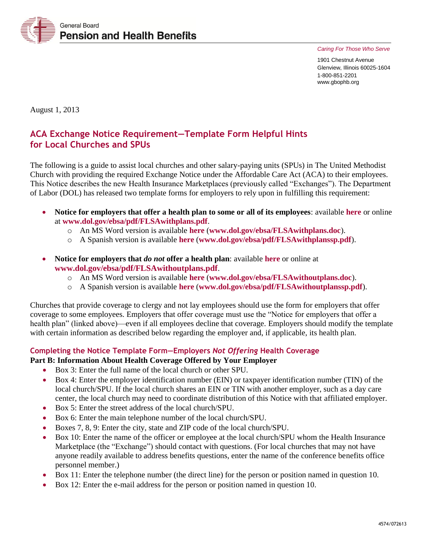

*Caring For Those Who Serve* 

1901 Chestnut Avenue Glenview, Illinois 60025-1604 1-800-851-2201 www.gbophb.org

August 1, 2013

# **ACA Exchange Notice Requirement—Template Form Helpful Hints for Local Churches and SPUs**

The following is a guide to assist local churches and other salary-paying units (SPUs) in The United Methodist Church with providing the required Exchange Notice under the Affordable Care Act (ACA) to their employees. This Notice describes the new Health Insurance Marketplaces (previously called "Exchanges"). The Department of Labor (DOL) has released two template forms for employers to rely upon in fulfilling this requirement:

- **Notice for employers that offer a health plan to some or all of its employees**: available **[here](http://www.dol.gov/ebsa/pdf/FLSAwithplans.pdf)** or online at **[www.dol.gov/ebsa/pdf/FLSAwithplans.pdf](http://www.dol.gov/ebsa/pdf/FLSAwithplans.pdf)**.
	- o An MS Word version is available **[here](http://www.dol.gov/ebsa/FLSAwithplans.doc)** (**[www.dol.gov/ebsa/FLSAwithplans.doc](http://www.dol.gov/ebsa/FLSAwithplans.doc)**).
	- o A Spanish version is available **[here](http://www.dol.gov/ebsa/pdf/FLSAwithplanssp.pdf)** (**[www.dol.gov/ebsa/pdf/FLSAwithplanssp.pdf](http://www.dol.gov/ebsa/pdf/FLSAwithplanssp.pdf)**).
- **Notice for employers that** *do not* **offer a health plan**: available **[here](http://www.dol.gov/ebsa/pdf/FLSAwithoutplans.pdf)** or online at **[www.dol.gov/ebsa/pdf/FLSAwithoutplans.pdf](http://www.dol.gov/ebsa/pdf/FLSAwithoutplans.pdf)**.
	- o An MS Word version is available **[here](http://www.dol.gov/ebsa/FLSAwithoutplans.doc)** (**[www.dol.gov/ebsa/FLSAwithoutplans.doc](http://www.dol.gov/ebsa/FLSAwithoutplans.doc)**).
	- o A Spanish version is available **[here](http://www.dol.gov/ebsa/pdf/FLSAwithoutplanssp.pdf)** (**[www.dol.gov/ebsa/pdf/FLSAwithoutplanssp.pdf](http://www.dol.gov/ebsa/pdf/FLSAwithoutplanssp.pdf)**).

Churches that provide coverage to clergy and not lay employees should use the form for employers that offer coverage to some employees. Employers that offer coverage must use the "Notice for employers that offer a health plan" (linked above)—even if all employees decline that coverage. Employers should modify the template with certain information as described below regarding the employer and, if applicable, its health plan.

#### **Completing the Notice Template Form—Employers** *Not Offering* **Health Coverage**

#### **Part B: Information About Health Coverage Offered by Your Employer**

- Box 3: Enter the full name of the local church or other SPU.
- Box 4: Enter the employer identification number (EIN) or taxpayer identification number (TIN) of the local church/SPU. If the local church shares an EIN or TIN with another employer, such as a day care center, the local church may need to coordinate distribution of this Notice with that affiliated employer.
- Box 5: Enter the street address of the local church/SPU.
- Box 6: Enter the main telephone number of the local church/SPU.
- Boxes 7, 8, 9: Enter the city, state and ZIP code of the local church/SPU.
- Box 10: Enter the name of the officer or employee at the local church/SPU whom the Health Insurance Marketplace (the "Exchange") should contact with questions. (For local churches that may not have anyone readily available to address benefits questions, enter the name of the conference benefits office personnel member.)
- Box 11: Enter the telephone number (the direct line) for the person or position named in question 10.
- Box 12: Enter the e-mail address for the person or position named in question 10.